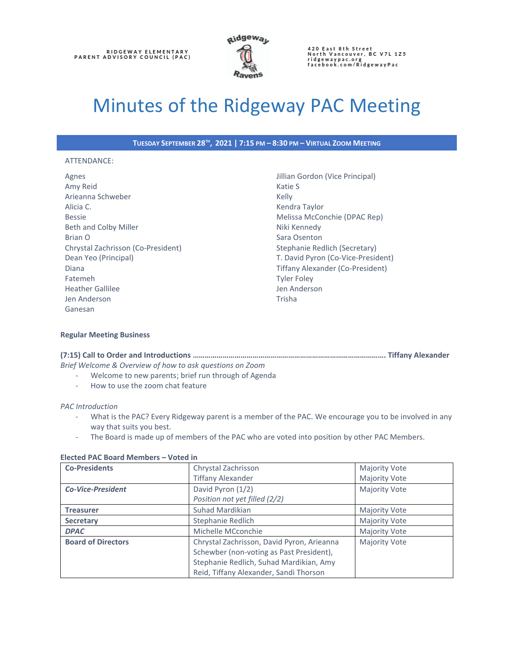

# Minutes of the Ridgeway PAC Meeting

**TUESDAY SEPTEMBER 28TH , 2021 | 7:15 PM – 8:30 PM – VIRTUAL ZOOM MEETING**

### ATTENDANCE:

Agnes Amy Reid Arieanna Schweber Alicia C. Bessie Beth and Colby Miller Brian O Chrystal Zachrisson (Co-President) Dean Yeo (Principal) Diana Fatemeh Heather Gallilee Jen Anderson Ganesan

Jillian Gordon (Vice Principal) Katie S Kelly Kendra Taylor Melissa McConchie (DPAC Rep) Niki Kennedy Sara Osenton Stephanie Redlich (Secretary) T. David Pyron (Co-Vice-President) Tiffany Alexander (Co-President) Tyler Foley Jen Anderson Trisha

# **Regular Meeting Business**

**(7:15) Call to Order and Introductions ……………………………………………………………………………………. Tiffany Alexander** *Brief Welcome & Overview of how to ask questions on Zoom*

- Welcome to new parents; brief run through of Agenda
	- How to use the zoom chat feature

# *PAC Introduction*

- What is the PAC? Every Ridgeway parent is a member of the PAC. We encourage you to be involved in any way that suits you best.
- The Board is made up of members of the PAC who are voted into position by other PAC Members.

### **Elected PAC Board Members – Voted in**

| <b>Co-Presidents</b>      | Chrystal Zachrisson                        | <b>Majority Vote</b> |
|---------------------------|--------------------------------------------|----------------------|
|                           | <b>Tiffany Alexander</b>                   | <b>Majority Vote</b> |
| <b>Co-Vice-President</b>  | David Pyron (1/2)                          | <b>Majority Vote</b> |
|                           | Position not yet filled (2/2)              |                      |
| <b>Treasurer</b>          | Suhad Mardikian                            | <b>Majority Vote</b> |
| <b>Secretary</b>          | Stephanie Redlich                          | <b>Majority Vote</b> |
| <b>DPAC</b>               | Michelle MCconchie                         | <b>Majority Vote</b> |
| <b>Board of Directors</b> | Chrystal Zachrisson, David Pyron, Arieanna | <b>Majority Vote</b> |
|                           | Schewber (non-voting as Past President),   |                      |
|                           | Stephanie Redlich, Suhad Mardikian, Amy    |                      |
|                           | Reid, Tiffany Alexander, Sandi Thorson     |                      |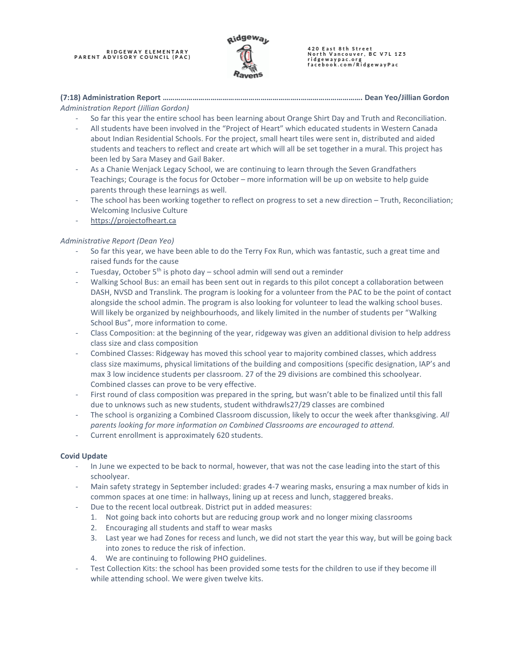RIDGEWAY ELEMENTARY<br>PARENT ADVISORY COUNCIL (PAC)



420 East 8th Street<br>North Vancouver, BC V7L 1Z5 ridgewaypac.org<br>facebook.com/RidgewayPac

# **(7:18) Administration Report ………………………………….………………………..…………………………. Dean Yeo/Jillian Gordon**

# *Administration Report (Jillian Gordon)*

- So far this year the entire school has been learning about Orange Shirt Day and Truth and Reconciliation.
- All students have been involved in the "Project of Heart" which educated students in Western Canada about Indian Residential Schools. For the project, small heart tiles were sent in, distributed and aided students and teachers to reflect and create art which will all be set together in a mural. This project has been led by Sara Masey and Gail Baker.
- As a Chanie Wenjack Legacy School, we are continuing to learn through the Seven Grandfathers Teachings; Courage is the focus for October – more information will be up on website to help guide parents through these learnings as well.
- The school has been working together to reflect on progress to set a new direction Truth, Reconciliation; Welcoming Inclusive Culture
- [https://projectofheart.ca](https://projectofheart.ca/)

# *Administrative Report (Dean Yeo)*

- So far this year, we have been able to do the Terry Fox Run, which was fantastic, such a great time and raised funds for the cause
- Tuesday, October  $5<sup>th</sup>$  is photo day school admin will send out a reminder
- Walking School Bus: an email has been sent out in regards to this pilot concept a collaboration between DASH, NVSD and Translink. The program is looking for a volunteer from the PAC to be the point of contact alongside the school admin. The program is also looking for volunteer to lead the walking school buses. Will likely be organized by neighbourhoods, and likely limited in the number of students per "Walking School Bus", more information to come.
- Class Composition: at the beginning of the year, ridgeway was given an additional division to help address class size and class composition
- Combined Classes: Ridgeway has moved this school year to majority combined classes, which address class size maximums, physical limitations of the building and compositions (specific designation, IAP's and max 3 low incidence students per classroom. 27 of the 29 divisions are combined this schoolyear. Combined classes can prove to be very effective.
- First round of class composition was prepared in the spring, but wasn't able to be finalized until this fall due to unknows such as new students, student withdrawls27/29 classes are combined
- The school is organizing a Combined Classroom discussion, likely to occur the week after thanksgiving. *All parents looking for more information on Combined Classrooms are encouraged to attend.*
- Current enrollment is approximately 620 students.

# **Covid Update**

- In June we expected to be back to normal, however, that was not the case leading into the start of this schoolyear.
- Main safety strategy in September included: grades 4-7 wearing masks, ensuring a max number of kids in common spaces at one time: in hallways, lining up at recess and lunch, staggered breaks.
- Due to the recent local outbreak. District put in added measures:
	- 1. Not going back into cohorts but are reducing group work and no longer mixing classrooms
	- 2. Encouraging all students and staff to wear masks
	- 3. Last year we had Zones for recess and lunch, we did not start the year this way, but will be going back into zones to reduce the risk of infection.
	- 4. We are continuing to following PHO guidelines.
- Test Collection Kits: the school has been provided some tests for the children to use if they become ill while attending school. We were given twelve kits.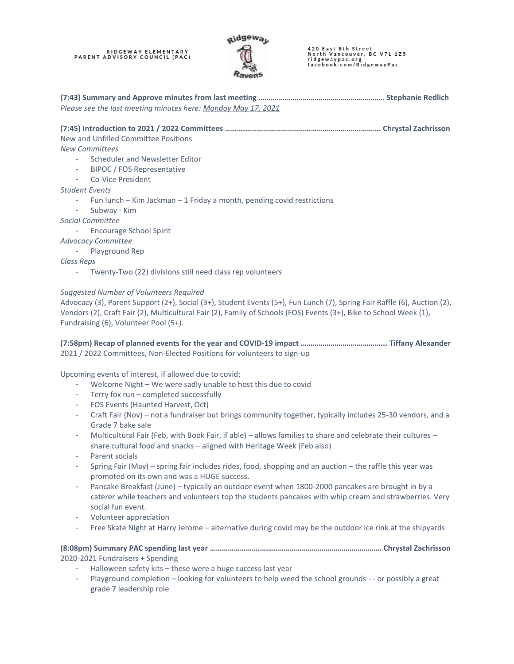# RIDGEWAY ELEMENTARY<br>PARENT ADVISORY COUNCIL (PAC)



420 East 8th Street<br>North Vancouver, BC V7L 1Z5 ridgewaypac.org<br>facebook.com/RidgewayPac

**(7:43) Summary and Approve minutes from last meeting …………….……………………………….………. Stephanie Redlich** *Please see the last meeting minutes here: [Monday May 17, 2021](https://ridgewaypactest.files.wordpress.com/2021/06/2021may17-pacminutesagm-1.pdf)*

# **(7:45) Introduction to 2021 / 2022 Committees ……….………………………………………………….………. Chrystal Zachrisson**

New and Unfilled Committee Positions

*New Committees*

- Scheduler and Newsletter Editor
- BIPOC / FOS Representative
- Co-Vice President
- *Student Events*
	- Fun lunch Kim Jackman 1 Friday a month, pending covid restrictions
	- Subway Kim

*Social Committee*

- Encourage School Spirit

*Advocacy Committee*

- Playground Rep

*Class Reps*

- Twenty-Two (22) divisions still need class rep volunteers

# *Suggested Number of Volunteers Required*

Advocacy (3), Parent Support (2+), Social (3+), Student Events (5+), Fun Lunch (7), Spring Fair Raffle (6), Auction (2), Vendors (2), Craft Fair (2), Multicultural Fair (2), Family of Schools (FOS) Events (3+), Bike to School Week (1), Fundraising (6), Volunteer Pool (5+).

**(7:58pm) Recap of planned events for the year and COVID-19 impact ………………………….………... Tiffany Alexander** 2021 / 2022 Committees, Non-Elected Positions for volunteers to sign-up

Upcoming events of interest, if allowed due to covid:

- Welcome Night We were sadly unable to host this due to covid
- Terry fox run completed successfully
- FOS Events (Haunted Harvest, Oct)
- Craft Fair (Nov) not a fundraiser but brings community together, typically includes 25-30 vendors, and a Grade 7 bake sale
- Multicultural Fair (Feb, with Book Fair, if able) allows families to share and celebrate their cultures share cultural food and snacks – aligned with Heritage Week (Feb also)
- Parent socials
- Spring Fair (May) spring fair includes rides, food, shopping and an auction the raffle this year was promoted on its own and was a HUGE success.
- Pancake Breakfast (June) typically an outdoor event when 1800-2000 pancakes are brought in by a caterer while teachers and volunteers top the students pancakes with whip cream and strawberries. Very social fun event.
- Volunteer appreciation
- Free Skate Night at Harry Jerome alternative during covid may be the outdoor ice rink at the shipyards

# **(8:08pm) Summary PAC spending last year …………………….……………………………………………………. Chrystal Zachrisson** 2020-2021 Fundraisers + Spending

- Halloween safety kits these were a huge success last year
- Playground completion looking for volunteers to help weed the school grounds - or possibly a great grade 7 leadership role